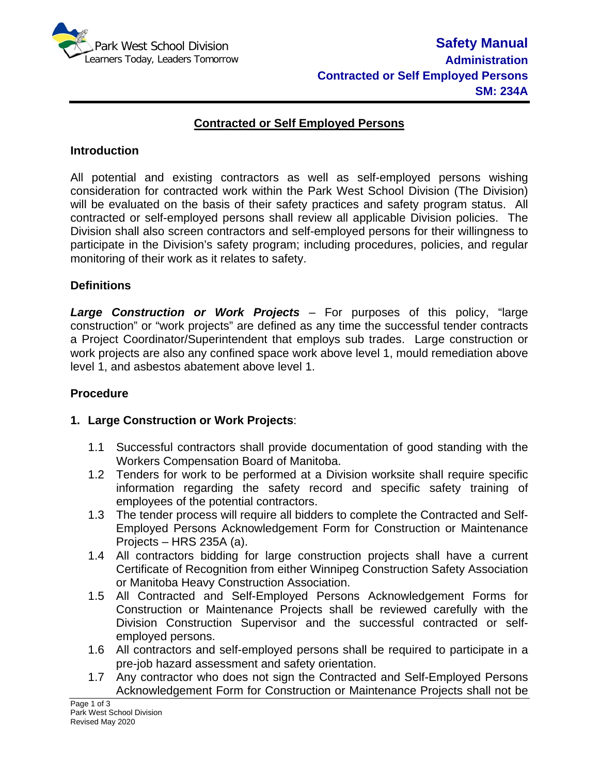

### **Contracted or Self Employed Persons**

#### **Introduction**

All potential and existing contractors as well as self-employed persons wishing consideration for contracted work within the Park West School Division (The Division) will be evaluated on the basis of their safety practices and safety program status. All contracted or self-employed persons shall review all applicable Division policies. The Division shall also screen contractors and self-employed persons for their willingness to participate in the Division's safety program; including procedures, policies, and regular monitoring of their work as it relates to safety.

### **Definitions**

*Large Construction or Work Projects* – For purposes of this policy, "large construction" or "work projects" are defined as any time the successful tender contracts a Project Coordinator/Superintendent that employs sub trades. Large construction or work projects are also any confined space work above level 1, mould remediation above level 1, and asbestos abatement above level 1.

#### **Procedure**

### **1. Large Construction or Work Projects**:

- 1.1 Successful contractors shall provide documentation of good standing with the Workers Compensation Board of Manitoba.
- 1.2 Tenders for work to be performed at a Division worksite shall require specific information regarding the safety record and specific safety training of employees of the potential contractors.
- 1.3 The tender process will require all bidders to complete the Contracted and Self-Employed Persons Acknowledgement Form for Construction or Maintenance Projects – HRS 235A (a).
- 1.4 All contractors bidding for large construction projects shall have a current Certificate of Recognition from either Winnipeg Construction Safety Association or Manitoba Heavy Construction Association.
- 1.5 All Contracted and Self-Employed Persons Acknowledgement Forms for Construction or Maintenance Projects shall be reviewed carefully with the Division Construction Supervisor and the successful contracted or selfemployed persons.
- 1.6 All contractors and self-employed persons shall be required to participate in a pre-job hazard assessment and safety orientation.
- 1.7 Any contractor who does not sign the Contracted and Self-Employed Persons Acknowledgement Form for Construction or Maintenance Projects shall not be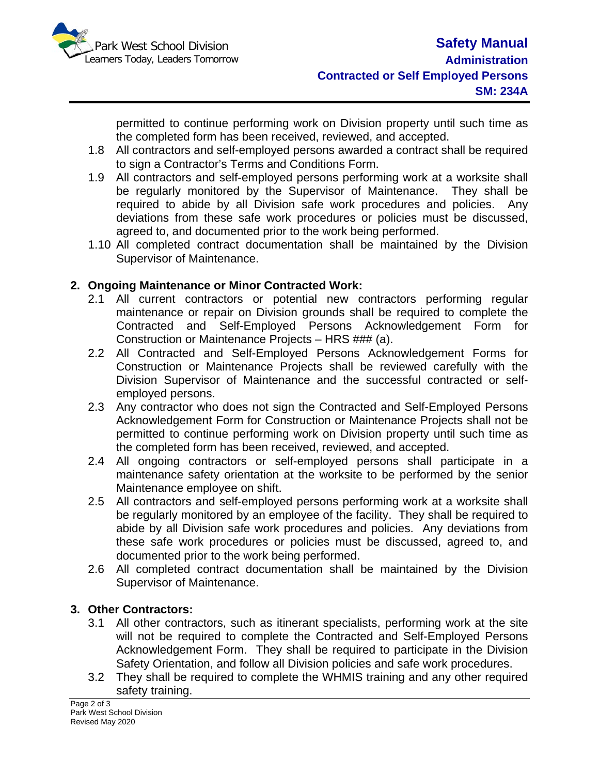

permitted to continue performing work on Division property until such time as the completed form has been received, reviewed, and accepted.

- 1.8 All contractors and self-employed persons awarded a contract shall be required to sign a Contractor's Terms and Conditions Form.
- 1.9 All contractors and self-employed persons performing work at a worksite shall be regularly monitored by the Supervisor of Maintenance. They shall be required to abide by all Division safe work procedures and policies. Any deviations from these safe work procedures or policies must be discussed, agreed to, and documented prior to the work being performed.
- 1.10 All completed contract documentation shall be maintained by the Division Supervisor of Maintenance.

# **2. Ongoing Maintenance or Minor Contracted Work:**

- 2.1 All current contractors or potential new contractors performing regular maintenance or repair on Division grounds shall be required to complete the Contracted and Self-Employed Persons Acknowledgement Form for Construction or Maintenance Projects – HRS ### (a).
- 2.2 All Contracted and Self-Employed Persons Acknowledgement Forms for Construction or Maintenance Projects shall be reviewed carefully with the Division Supervisor of Maintenance and the successful contracted or selfemployed persons.
- 2.3 Any contractor who does not sign the Contracted and Self-Employed Persons Acknowledgement Form for Construction or Maintenance Projects shall not be permitted to continue performing work on Division property until such time as the completed form has been received, reviewed, and accepted.
- 2.4 All ongoing contractors or self-employed persons shall participate in a maintenance safety orientation at the worksite to be performed by the senior Maintenance employee on shift.
- 2.5 All contractors and self-employed persons performing work at a worksite shall be regularly monitored by an employee of the facility. They shall be required to abide by all Division safe work procedures and policies. Any deviations from these safe work procedures or policies must be discussed, agreed to, and documented prior to the work being performed.
- 2.6 All completed contract documentation shall be maintained by the Division Supervisor of Maintenance.

# **3. Other Contractors:**

- 3.1 All other contractors, such as itinerant specialists, performing work at the site will not be required to complete the Contracted and Self-Employed Persons Acknowledgement Form. They shall be required to participate in the Division Safety Orientation, and follow all Division policies and safe work procedures.
- 3.2 They shall be required to complete the WHMIS training and any other required safety training.